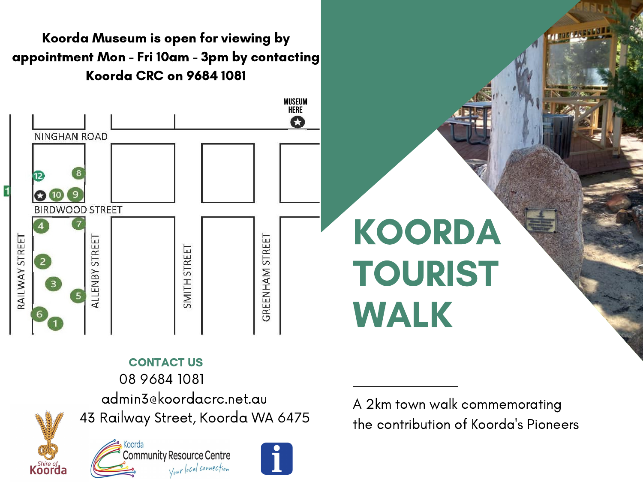Koorda Museum is open for viewing by appointment Mon - Fri 10am - 3pm by contacting Koorda CRC on 9684 1081



## CONTACT US 08 9684 1081

admin3@koordacrc.net.au

43 Railway Street, Koorda WA 6475



Koorda **Community Resource Centre** Your local connection



A 2km town walk commemorating the contribution of Koorda's Pioneers